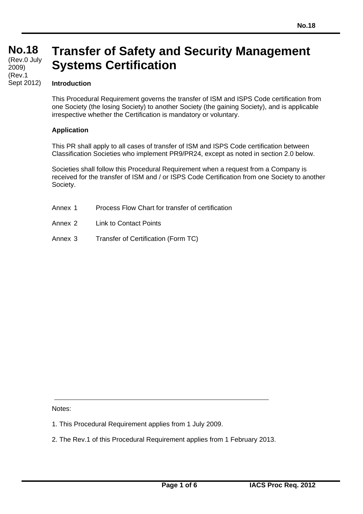#### **No.18 No.18**  (Rev.0 July 2009) (Rev.1 Sept 2012)

# **Transfer of Safety and Security Management Systems Certification**

#### **Introduction**

This Procedural Requirement governs the transfer of ISM and ISPS Code certification from one Society (the losing Society) to another Society (the gaining Society), and is applicable irrespective whether the Certification is mandatory or voluntary.

#### **Application**

This PR shall apply to all cases of transfer of ISM and ISPS Code certification between Classification Societies who implement PR9/PR24, except as noted in section 2.0 below.

Societies shall follow this Procedural Requirement when a request from a Company is received for the transfer of ISM and / or ISPS Code Certification from one Society to another Society.

- Annex 1 Process Flow Chart for transfer of certification
- Annex 2 Link to Contact Points
- Annex 3 Transfer of Certification (Form TC)

Notes:

- 1. This Procedural Requirement applies from 1 July 2009.
- 2. The Rev.1 of this Procedural Requirement applies from 1 February 2013.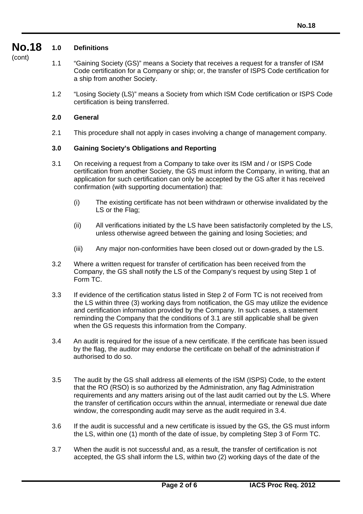#### **No.18 1.0 Definitions**

- (cont)
- 1.1 "Gaining Society (GS)" means a Society that receives a request for a transfer of ISM Code certification for a Company or ship; or, the transfer of ISPS Code certification for a ship from another Society.
- 1.2 "Losing Society (LS)" means a Society from which ISM Code certification or ISPS Code certification is being transferred.

### **2.0 General**

2.1 This procedure shall not apply in cases involving a change of management company.

## **3.0 Gaining Society's Obligations and Reporting**

- 3.1 On receiving a request from a Company to take over its ISM and / or ISPS Code certification from another Society, the GS must inform the Company, in writing, that an application for such certification can only be accepted by the GS after it has received confirmation (with supporting documentation) that:
	- (i) The existing certificate has not been withdrawn or otherwise invalidated by the LS or the Flag;
	- (ii) All verifications initiated by the LS have been satisfactorily completed by the LS, unless otherwise agreed between the gaining and losing Societies; and
	- (iii) Any major non-conformities have been closed out or down-graded by the LS.
- 3.2 Where a written request for transfer of certification has been received from the Company, the GS shall notify the LS of the Company's request by using Step 1 of Form TC.
- 3.3 If evidence of the certification status listed in Step 2 of Form TC is not received from the LS within three (3) working days from notification, the GS may utilize the evidence and certification information provided by the Company. In such cases, a statement reminding the Company that the conditions of 3.1 are still applicable shall be given when the GS requests this information from the Company.
- 3.4 An audit is required for the issue of a new certificate. If the certificate has been issued by the flag, the auditor may endorse the certificate on behalf of the administration if authorised to do so.
- 3.5 The audit by the GS shall address all elements of the ISM (ISPS) Code, to the extent that the RO (RSO) is so authorized by the Administration, any flag Administration requirements and any matters arising out of the last audit carried out by the LS. Where the transfer of certification occurs within the annual, intermediate or renewal due date window, the corresponding audit may serve as the audit required in 3.4.
- 3.6 If the audit is successful and a new certificate is issued by the GS, the GS must inform the LS, within one (1) month of the date of issue, by completing Step 3 of Form TC.
- 3.7 When the audit is not successful and, as a result, the transfer of certification is not accepted, the GS shall inform the LS, within two (2) working days of the date of the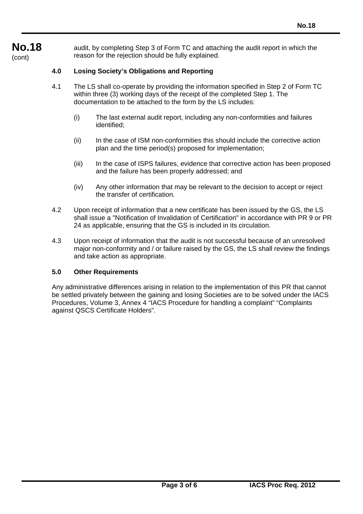**No.18**  (cont)

audit, by completing Step 3 of Form TC and attaching the audit report in which the reason for the rejection should be fully explained.

### **4.0 Losing Society's Obligations and Reporting**

- 4.1 The LS shall co-operate by providing the information specified in Step 2 of Form TC within three (3) working days of the receipt of the completed Step 1. The documentation to be attached to the form by the LS includes:
	- (i) The last external audit report, including any non-conformities and failures identified;
	- (ii) In the case of ISM non-conformities this should include the corrective action plan and the time period(s) proposed for implementation;
	- (iii) In the case of ISPS failures, evidence that corrective action has been proposed and the failure has been properly addressed; and
	- (iv) Any other information that may be relevant to the decision to accept or reject the transfer of certification.
- 4.2 Upon receipt of information that a new certificate has been issued by the GS, the LS shall issue a "Notification of Invalidation of Certification" in accordance with PR 9 or PR 24 as applicable, ensuring that the GS is included in its circulation.
- 4.3 Upon receipt of information that the audit is not successful because of an unresolved major non-conformity and / or failure raised by the GS, the LS shall review the findings and take action as appropriate.

#### **5.0 Other Requirements**

Any administrative differences arising in relation to the implementation of this PR that cannot be settled privately between the gaining and losing Societies are to be solved under the IACS Procedures, Volume 3, Annex 4 "IACS Procedure for handling a complaint" "Complaints against QSCS Certificate Holders".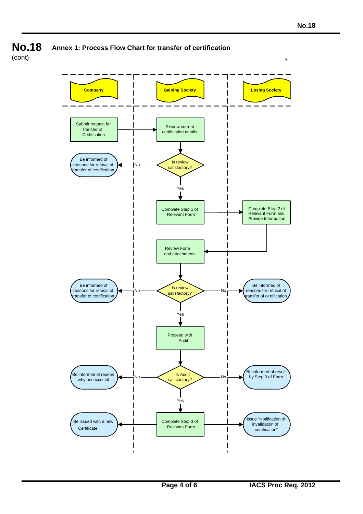

**No.18 Annex 1: Process Flow Chart for transfer of certification**

(cont)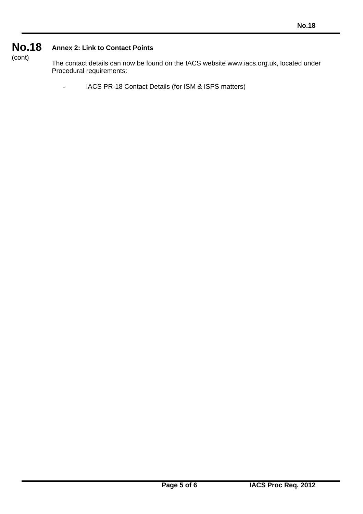#### **No.18**  (cont) **Annex 2: Link to Contact Points**

The contact details can now be found on the IACS website www.iacs.org.uk, located under Procedural requirements:

- IACS PR-18 Contact Details (for ISM & ISPS matters)